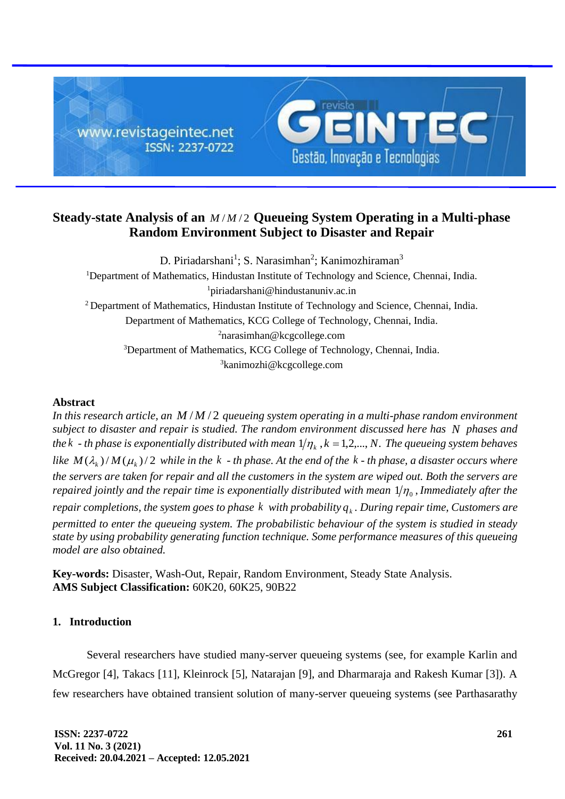

# Steady-state Analysis of an  $M/M/2$  Queueing System Operating in a Multi-phase **Random Environment Subject to Disaster and Repair**

D. Piriadarshani<sup>1</sup>; S. Narasimhan<sup>2</sup>; Kanimozhiraman<sup>3</sup> <sup>1</sup>Department of Mathematics, Hindustan Institute of Technology and Science, Chennai, India. <sup>1</sup>piriadarshani@hindustanuniv.ac.in <sup>2</sup> Department of Mathematics, Hindustan Institute of Technology and Science, Chennai, India. Department of Mathematics, KCG College of Technology, Chennai, India. <sup>2</sup>narasimhan@kcgcollege.com <sup>3</sup>Department of Mathematics, KCG College of Technology, Chennai, India. <sup>3</sup>kanimozhi@kcgcollege.com

### **Abstract**

In this research article, an M / M / 2 queueing system operating in a multi-phase random environment *subject to disaster and repair is studied. The random environment discussed here has N phases and*  the  $k$  - th phase is exponentially distributed with mean  $1/\eta_{_k}$  ,  $k$  = 1,2,..., N. The queueing system behaves like  $M(\lambda_k)/M(\mu_k)/2$  while in the  $k$  - th phase. At the end of the  $k$  - th phase, a disaster occurs where *the servers are taken for repair and all the customers in the system are wiped out. Both the servers are*  repaired jointly and the repair time is exponentially distributed with mean  $1/\eta_{_0}$  , Immediately after the *repair completions, the system goes to phase k with probability qk . During repair time, Customers are permitted to enter the queueing system. The probabilistic behaviour of the system is studied in steady state by using probability generating function technique. Some performance measures of this queueing model are also obtained.*

**Key-words:** Disaster, Wash-Out, Repair, Random Environment, Steady State Analysis. **AMS Subject Classification:** 60K20, 60K25, 90B22

## **1. Introduction**

Several researchers have studied many-server queueing systems (see, for example Karlin and McGregor [4], Takacs [11], Kleinrock [5], Natarajan [9], and Dharmaraja and Rakesh Kumar [3]). A few researchers have obtained transient solution of many-server queueing systems (see Parthasarathy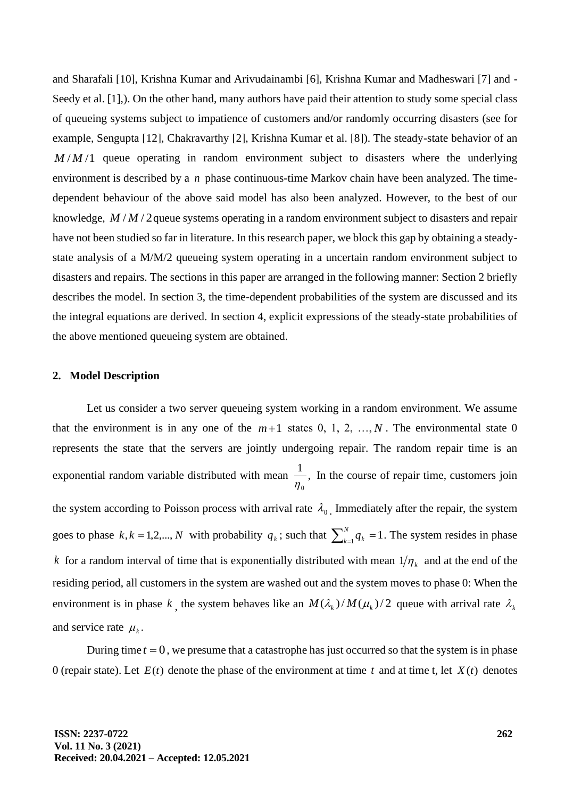and Sharafali [10], Krishna Kumar and Arivudainambi [6], Krishna Kumar and Madheswari [7] and - Seedy et al. [1], On the other hand, many authors have paid their attention to study some special class of queueing systems subject to impatience of customers and/or randomly occurring disasters (see for example, Sengupta [12], Chakravarthy [2], Krishna Kumar et al. [8]). The steady-state behavior of an  $M/M/1$  queue operating in random environment subject to disasters where the underlying environment is described by a *n* phase continuous-time Markov chain have been analyzed. The timedependent behaviour of the above said model has also been analyzed. However, to the best of our knowledge, *M* / *M* / 2 queue systems operating in a random environment subject to disasters and repair have not been studied so far in literature. In this research paper, we block this gap by obtaining a steadystate analysis of a M/M/2 queueing system operating in a uncertain random environment subject to disasters and repairs. The sections in this paper are arranged in the following manner: Section 2 briefly describes the model. In section 3, the time-dependent probabilities of the system are discussed and its the integral equations are derived. In section 4, explicit expressions of the steady-state probabilities of the above mentioned queueing system are obtained.

#### **2. Model Description**

Let us consider a two server queueing system working in a random environment. We assume that the environment is in any one of the  $m+1$  states 0, 1, 2, ..., N. The environmental state 0 represents the state that the servers are jointly undergoing repair. The random repair time is an exponential random variable distributed with mean  $\frac{1}{n}$ ,  $\eta_{_0}$ In the course of repair time, customers join the system according to Poisson process with arrival rate  $\lambda_0$ . Immediately after the repair, the system goes to phase  $k, k = 1, 2, ..., N$  with probability  $q_k$ ; such that  $\sum_{k=1}^{N} q_k = 1$ *N*  $\int_{k=1}^{N} q_k = 1$ . The system resides in phase k for a random interval of time that is exponentially distributed with mean  $1/\eta_k$  and at the end of the residing period, all customers in the system are washed out and the system moves to phase 0: When the environment is in phase  $k$ , the system behaves like an  $M(\lambda_k)/M(\mu_k)/2$  queue with arrival rate  $\lambda_k$ and service rate  $\mu_k$ .

During time  $t = 0$ , we presume that a catastrophe has just occurred so that the system is in phase 0 (repair state). Let  $E(t)$  denote the phase of the environment at time t and at time t, let  $X(t)$  denotes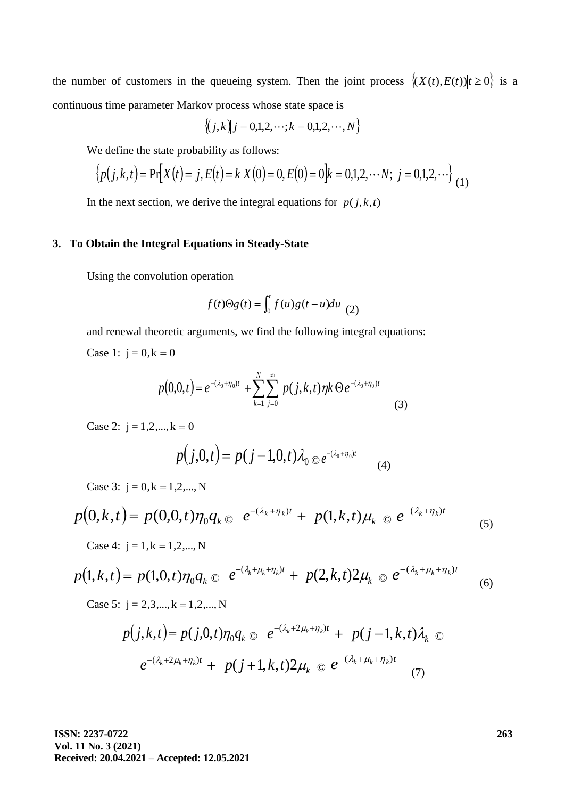the number of customers in the queueing system. Then the joint process  $\{(X(t), E(t))|t \ge 0\}$  is a continuous time parameter Markov process whose state space is

$$
\{(j,k)| j = 0,1,2,\cdots; k = 0,1,2,\cdots,N\}
$$

We define the state probability as follows:

$$
\{p(j,k,t) = \Pr[X(t) = j, E(t) = k | X(0) = 0, E(0) = 0 | k = 0,1,2,\cdots N; j = 0,1,2,\cdots\}
$$
 (1)

In the next section, we derive the integral equations for  $p(j, k, t)$ 

### **3. To Obtain the Integral Equations in Steady-State**

Using the convolution operation

$$
f(t)\Theta g(t) = \int_0^t f(u)g(t-u)du \tag{2}
$$

and renewal theoretic arguments, we find the following integral equations: Case 1:  $j = 0, k = 0$ 

$$
p(0,0,t) = e^{-(\lambda_0 + \eta_0)t} + \sum_{k=1}^{N} \sum_{j=0}^{\infty} p(j,k,t) \eta k \Theta e^{-(\lambda_0 + \eta_0)t}
$$
\n(3)

Case 2:  $j = 1, 2, ..., k = 0$ 

$$
p(j,0,t) = p(j-1,0,t)\lambda_0 \otimes e^{-(\lambda_0 + \eta_0)t}
$$
 (4)

Case 3:  $j = 0, k = 1, 2, ..., N$ 

$$
p(0,k,t) = p(0,0,t)\eta_0 q_k \otimes e^{-(\lambda_k + \eta_k)t} + p(1,k,t)\mu_k \otimes e^{-(\lambda_k + \eta_k)t}
$$
\n(5)

Case 4:  $j = 1, k = 1, 2, ..., N$ 

$$
p(1,k,t) = p(1,0,t)\eta_0 q_k \otimes e^{-(\lambda_k + \mu_k + \eta_k)t} + p(2,k,t)2\mu_k \otimes e^{-(\lambda_k + \mu_k + \eta_k)t}
$$
(6)

Case 5: 
$$
j = 2,3,..., k = 1,2,..., N
$$

$$
p(j,k,t) = p(j,0,t)\eta_0 q_k \otimes e^{-(\lambda_k + 2\mu_k + \eta_k)t} + p(j-1,k,t)\lambda_k \otimes e^{-(\lambda_k + 2\mu_k + \eta_k)t} + p(j+1,k,t)2\mu_k \otimes e^{-(\lambda_k + \mu_k + \eta_k)t}
$$
(7)

**ISSN: 2237-0722 Vol. 11 No. 3 (2021) Received: 20.04.2021 – Accepted: 12.05.2021**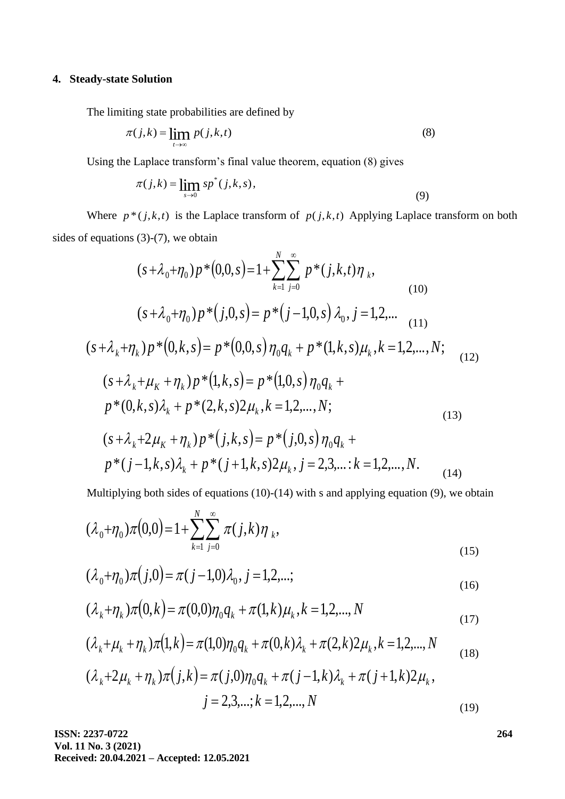## **4. Steady-state Solution**

The limiting state probabilities are defined by

$$
\pi(j,k) = \lim_{t \to \infty} p(j,k,t) \tag{8}
$$

Using the Laplace transform's final value theorem, equation (8) gives

$$
\pi(j,k) = \lim_{s \to 0} s p^*(j,k,s),\tag{9}
$$

Where  $p^*(j, k, t)$  is the Laplace transform of  $p(j, k, t)$  Applying Laplace transform on both sides of equations (3)-(7), we obtain

$$
(s+\lambda_0+\eta_0)p^*(0,0,s)=1+\sum_{k=1}^N\sum_{j=0}^\infty p^*(j,k,t)\eta_k,
$$
  
\n
$$
(s+\lambda_0+\eta_0)p^*(j,0,s)=p^*(j-1,0,s)\lambda_0,j=1,2,...
$$
  
\n
$$
(s+\lambda_k+\eta_k)p^*(0,k,s)=p^*(0,0,s)\eta_0q_k+p^*(1,k,s)\mu_k,k=1,2,...,N;
$$
  
\n
$$
(s+\lambda_k+\mu_k+\eta_k)p^*(1,k,s)=p^*(1,0,s)\eta_0q_k+\newline p^*(0,k,s)\lambda_k+p^*(2,k,s)2\mu_k,k=1,2,...,N;
$$
  
\n
$$
(s+\lambda_k+2\mu_k+\eta_k)p^*(j,k,s)=p^*(j,0,s)\eta_0q_k+\newline p^*(j-1,k,s)\lambda_k+p^*(j+1,k,s)2\mu_k,j=2,3,...;k=1,2,...,N.
$$
  
\n(14)

Multiplying both sides of equations (10)-(14) with s and applying equation (9), we obtain

$$
(\lambda_0 + \eta_0)\pi(0,0) = 1 + \sum_{k=1}^{N} \sum_{j=0}^{\infty} \pi(j,k)\eta_k,
$$
\n(15)

$$
(\lambda_0 + \eta_0)\pi(j,0) = \pi(j-1,0)\lambda_0, j = 1,2,...;
$$
\n(16)

$$
(\lambda_k + \eta_k)\pi(0,k) = \pi(0,0)\eta_0 q_k + \pi(1,k)\mu_k, k = 1,2,...,N
$$
  

$$
(\lambda_k + \mu_k + \eta_k)\pi(1,k) = \pi(1,0)\eta_0 q_k + \pi(0,k)\lambda_k + \pi(2,k)2\mu_k, k = 1,2,...,N
$$
 (18)

$$
(\lambda_k + \mu_k + \eta_k)\pi(1, k) = \pi(1, 0)\eta_0 q_k + \pi(0, k)\lambda_k + \pi(2, k)2\mu_k, k = 1, 2, \dots, N
$$
\n(18)

$$
(\lambda_k + 2\mu_k + \eta_k)\pi(j,k) = \pi(j,0)\eta_0 q_k + \pi(j-1,k)\lambda_k + \pi(j+1,k)2\mu_k,
$$
  

$$
j = 2,3,...; k = 1,2,..., N
$$
 (19)

**ISSN: 2237-0722 Vol. 11 No. 3 (2021) Received: 20.04.2021 – Accepted: 12.05.2021** **264**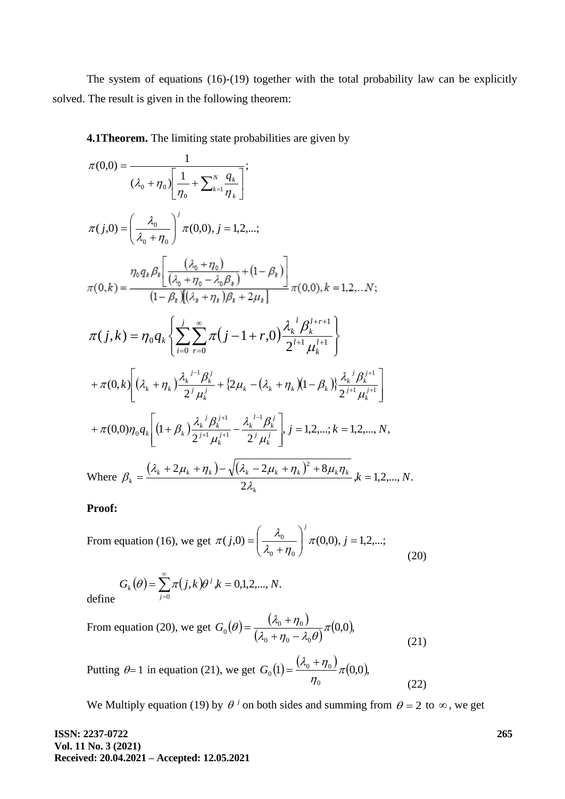The system of equations (16)-(19) together with the total probability law can be explicitly solved. The result is given in the following theorem:

**4.1Theorem.** The limiting state probabilities are given by

$$
\pi(0,0) = \frac{1}{(\lambda_0 + \eta_0) \left[ \frac{1}{\eta_0} + \sum_{k=1}^{N} \frac{q_k}{\eta_k} \right]};
$$
  
\n
$$
\pi(j,0) = \left( \frac{\lambda_0}{\lambda_0 + \eta_0} \right)^j \pi(0,0), j = 1,2,...;
$$
  
\n
$$
\pi(0,k) = \frac{\eta_0 q_k \beta_k \left[ \frac{(\lambda_0 + \eta_0)}{(\lambda_0 + \eta_0 - \lambda_0 \beta_k)} + (1 - \beta_k) \right]}{(1 - \beta_k) \left[ (\lambda_k + \eta_k) \beta_k + 2\mu_k \right]} \pi(0,0), k = 1,2...N;
$$
  
\n
$$
\pi(j,k) = \eta_0 q_k \left\{ \sum_{i=0}^{j} \sum_{r=0}^{\infty} \pi(j-1+r,0) \frac{\lambda_k^{j} \beta_k^{l+r+1}}{2^{l+1} \mu_k^{l+1}} \right\}
$$
  
\n
$$
+ \pi(0,k) \left[ (\lambda_k + \eta_k) \frac{\lambda_k^{j-1} \beta_k^{j}}{2^{j} \mu_k^{j}} + \{2\mu_k - (\lambda_k + \eta_k)(1 - \beta_k)\} \frac{\lambda_k^{j} \beta_k^{j+1}}{2^{j+1} \mu_k^{j+1}} \right]
$$
  
\n
$$
+ \pi(0,0)\eta_0 q_k \left[ (1 + \beta_k) \frac{\lambda_k^{j} \beta_k^{j+1}}{2^{j+1} \mu_k^{j+1}} - \frac{\lambda_k^{l-1} \beta_k^{j}}{2^{j} \mu_k^{j}} \right], j = 1,2,...; k = 1,2,..., N,
$$
  
\nWhere  $\beta_k = \frac{(\lambda_k + 2\mu_k + \eta_k) - \sqrt{(\lambda_k - 2\mu_k + \eta_k)^2 + 8\mu_k \eta_k}}{2\lambda_k}, k = 1,2,..., N.$ 

#### **Proof:**

From equation (16), we get 
$$
\pi(j,0) = \left(\frac{\lambda_0}{\lambda_0 + \eta_0}\right)^j \pi(0,0), j = 1,2,...;
$$
 (20)

$$
G_k(\theta) = \sum_{j=0}^{\infty} \pi(j,k)\theta^j k = 0,1,2,...,N.
$$
 define

From equation (20), we get 
$$
G_0(\theta) = \frac{(\lambda_0 + \eta_0)}{(\lambda_0 + \eta_0 - \lambda_0 \theta)} \pi(0,0),
$$
 (21)

Putting  $\theta = 1$  in equation (21), we get  $G_0(1)$  $(\lambda_0 + \eta_0)$  $(1) = \frac{(20 - 770)}{\pi} \pi (0,0),$  $\mathbf{0}$  $\frac{1}{0}(1) = \frac{(\lambda_0 + \eta_0)}{\eta_0} \pi$  $G_0(1) = \frac{(\lambda_0 + \eta)}{(\lambda_0 + \eta)}$ (22)

We Multiply equation (19) by  $\theta^j$  on both sides and summing from  $\theta = 2$  to  $\infty$ , we get

**ISSN: 2237-0722 Vol. 11 No. 3 (2021) Received: 20.04.2021 – Accepted: 12.05.2021**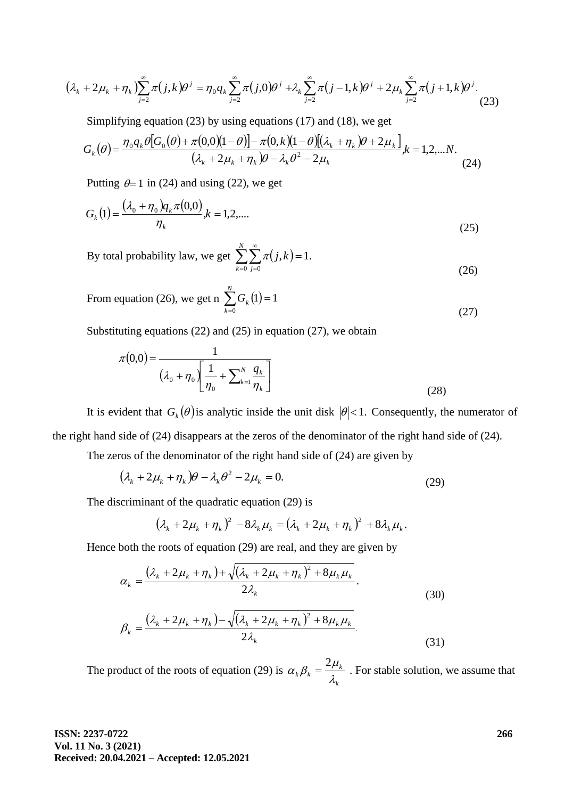$$
\left(\lambda_{k} + 2\mu_{k} + \eta_{k}\right) \sum_{j=2}^{\infty} \pi(j,k)\theta^{j} = \eta_{0}q_{k} \sum_{j=2}^{\infty} \pi(j,0)\theta^{j} + \lambda_{k} \sum_{j=2}^{\infty} \pi(j-1,k)\theta^{j} + 2\mu_{k} \sum_{j=2}^{\infty} \pi(j+1,k)\theta^{j}.
$$
\n(23)

Simplifying equation (23) by using equations (17) and (18), we get

Simplifying equation (23) by using equations (17) and (18), we get  
\n
$$
G_k(\theta) = \frac{\eta_0 q_k \theta [G_0(\theta) + \pi (0,0)(1-\theta)] - \pi (0,k)(1-\theta)[(\lambda_k + \eta_k)\theta + 2\mu_k]}{(\lambda_k + 2\mu_k + \eta_k)\theta - \lambda_k \theta^2 - 2\mu_k} k = 1,2,...N.
$$
\n(24)

Putting  $\theta = 1$  in (24) and using (22), we get

$$
G_k(1) = \frac{(\lambda_0 + \eta_0)q_k \pi(0,0)}{\eta_k} k = 1,2,\dots
$$
\n(25)

By total probability law, we get  $\sum \sum \pi(j,k) = 1$ .  $\sum_{k=0}^N \sum_{j=0}^\infty$ =  $\sum_{i=1}^{N} \sum_{i=1}^{\infty} \pi(j,k) =$ *k j*  $\pi(j,k)$ (26)

From equation (26), we get n 
$$
\sum_{k=0}^{N} G_k(1) = 1
$$
 (27)

Substituting equations (22) and (25) in equation (27), we obtain

$$
\pi(0,0) = \frac{1}{(\lambda_0 + \eta_0) \left[ \frac{1}{\eta_0} + \sum_{k=1}^{N} \frac{q_k}{\eta_k} \right]}
$$
(28)

It is evident that  $G_k(\theta)$  is analytic inside the unit disk  $|\theta|$ <1. Consequently, the numerator of the right hand side of (24) disappears at the zeros of the denominator of the right hand side of (24).

The zeros of the denominator of the right hand side of (24) are given by

$$
(\lambda_k + 2\mu_k + \eta_k)\theta - \lambda_k\theta^2 - 2\mu_k = 0.
$$
\n(29)

The discriminant of the quadratic equation (29) is

$$
(\lambda_k + 2\mu_k + \eta_k)^2 - 8\lambda_k \mu_k = (\lambda_k + 2\mu_k + \eta_k)^2 + 8\lambda_k \mu_k.
$$

Hence both the roots of equation (29) are real, and they are given by

$$
\alpha_k = \frac{(\lambda_k + 2\mu_k + \eta_k) + \sqrt{(\lambda_k + 2\mu_k + \eta_k)^2 + 8\mu_k\mu_k}}{2\lambda_k}.
$$
\n(30)

$$
\beta_{k} = \frac{(\lambda_{k} + 2\mu_{k} + \eta_{k}) - \sqrt{(\lambda_{k} + 2\mu_{k} + \eta_{k})^{2} + 8\mu_{k}\mu_{k}}}{2\lambda_{k}}
$$
(31)

The product of the roots of equation (29) is *k k*  $k P_k - \lambda$  $\alpha_k \beta_k = \frac{2\mu_k}{\lambda_k}$  $=\frac{2\mu_k}{\mu}$ . For stable solution, we assume that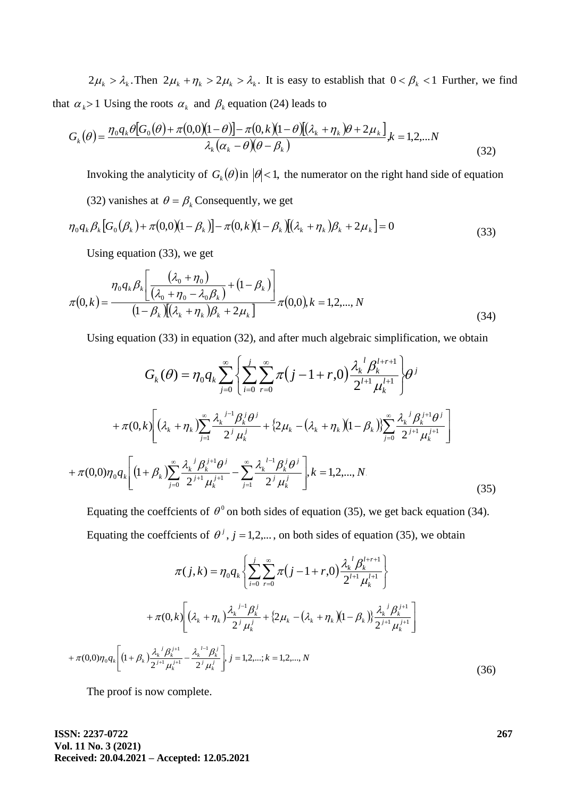$2\mu_k > \lambda_k$ . Then  $2\mu_k + \eta_k > 2\mu_k > \lambda_k$ . It is easy to establish that  $0 < \beta_k < 1$  Further, we find that  $\alpha_k$ >1 Using the roots  $\alpha_k$  and  $\beta_k$  equation (24) leads to

$$
G_k(\theta) = \frac{\eta_0 q_k \theta [G_0(\theta) + \pi (0,0)(1-\theta)] - \pi (0,k)(1-\theta)[(\lambda_k + \eta_k)\theta + 2\mu_k]}{\lambda_k (\alpha_k - \theta)(\theta - \beta_k)} k = 1,2,...N
$$
\n(32)

Invoking the analyticity of  $G_k(\theta)$  in  $|\theta|$  < 1, the numerator on the right hand side of equation (32) vanishes at  $\theta = \beta_k$  Consequently, we get

$$
\eta_0 q_k \beta_k [G_0(\beta_k) + \pi (0,0)(1 - \beta_k)] - \pi (0,k)(1 - \beta_k)[(\lambda_k + \eta_k)\beta_k + 2\mu_k] = 0
$$
\n(33)

Using equation (33), we get

$$
\pi(0,k) = \frac{\eta_0 q_k \beta_k \left[ \frac{(\lambda_0 + \eta_0)}{(\lambda_0 + \eta_0 - \lambda_0 \beta_k)} + (1 - \beta_k) \right]}{(1 - \beta_k) [(\lambda_k + \eta_k) \beta_k + 2\mu_k]} \pi(0,0), k = 1,2,...,N
$$
\n(34)

Using equation (33) in equation (32), and after much algebraic simplification, we obtain

$$
G_{k}(\theta) = \eta_{0} q_{k} \sum_{j=0}^{\infty} \left\{ \sum_{i=0}^{j} \sum_{r=0}^{\infty} \pi(j-1+r,0) \frac{\lambda_{k}^{l} \beta_{k}^{l+r+1}}{2^{l+1} \mu_{k}^{l+1}} \right\} \theta^{j}
$$
  
+  $\pi(0,k) \left[ (\lambda_{k} + \eta_{k}) \sum_{j=1}^{\infty} \frac{\lambda_{k}^{j-1} \beta_{k}^{j} \theta^{j}}{2^{j} \mu_{k}^{j}} + (2\mu_{k} - (\lambda_{k} + \eta_{k}) (1 - \beta_{k}) ) \sum_{j=0}^{\infty} \frac{\lambda_{k}^{j} \beta_{k}^{j+1} \theta^{j}}{2^{j+1} \mu_{k}^{j+1}} \right]$   
+  $\pi(0,0) \eta_{0} q_{k} \left[ (1 + \beta_{k}) \sum_{j=0}^{\infty} \frac{\lambda_{k}^{j} \beta_{k}^{j+1} \theta^{j}}{2^{j+1} \mu_{k}^{j+1}} - \sum_{j=1}^{\infty} \frac{\lambda_{k}^{l-1} \beta_{k}^{j} \theta^{j}}{2^{j} \mu_{k}^{j}} \right], k = 1,2,..., N$  (35)

Equating the coeffcients of  $\theta^0$  on both sides of equation (35), we get back equation (34). Equating the coeffcients of  $\theta^j$ ,  $j = 1, 2, \dots$ , on both sides of equation (35), we obtain

$$
\pi(j,k) = \eta_0 q_k \left\{ \sum_{i=0}^j \sum_{r=0}^{\infty} \pi(j-1+r,0) \frac{\lambda_k^l \beta_k^{l+r+1}}{2^{l+1} \mu_k^{l+1}} \right\}
$$
  
+  $\pi(0,k) \left[ (\lambda_k + \eta_k) \frac{\lambda_k^{j-1} \beta_k^j}{2^j \mu_k^j} + \{2\mu_k - (\lambda_k + \eta_k)(1-\beta_k)\} \frac{\lambda_k^j \beta_k^{j+1}}{2^{j+1} \mu_k^{j+1}} \right]$   
+  $\pi(0,0)\eta_0 q_k \left[ (1+\beta_k) \frac{\lambda_k^j \beta_k^{j+1}}{2^{j+1} \mu_k^{j+1}} - \frac{\lambda_k^{l-1} \beta_k^j}{2^j \mu_k^j} \right], j = 1,2,...; k = 1,2,..., N$  (36)

The proof is now complete.

**ISSN: 2237-0722 Vol. 11 No. 3 (2021) Received: 20.04.2021 – Accepted: 12.05.2021**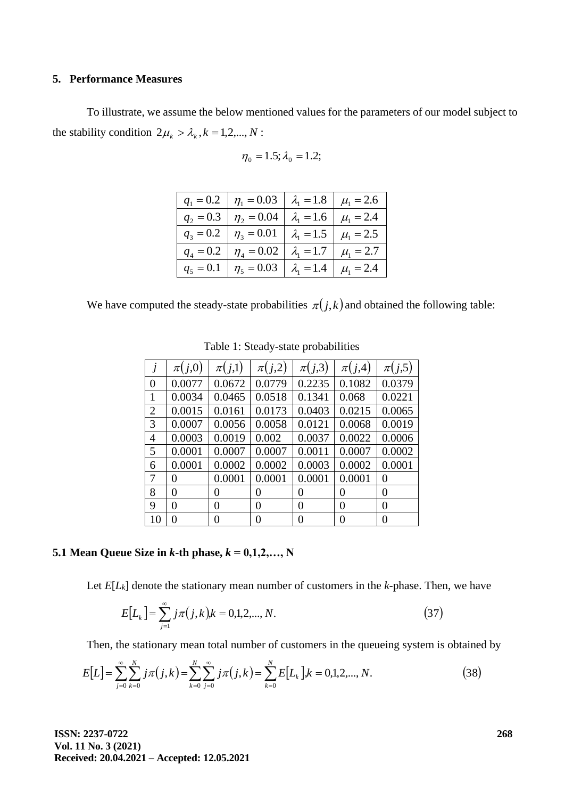#### **5. Performance Measures**

To illustrate, we assume the below mentioned values for the parameters of our model subject to the stability condition  $2\mu_k > \lambda_k$ ,  $k = 1, 2, ..., N$ :

$$
\eta_0 = 1.5; \lambda_0 = 1.2;
$$

| $q_1 = 0.2$   $\eta_1 = 0.03$   $\lambda_1 = 1.8$   $\mu_1 = 2.6$    |  |
|----------------------------------------------------------------------|--|
| $q_2 = 0.3$   $\eta_2 = 0.04$   $\lambda_1 = 1.6$   $\mu_1 = 2.4$    |  |
| $q_3 = 0.2$   $\eta_3 = 0.01$   $\lambda_1 = 1.5$   $\mu_1 = 2.5$    |  |
| $q_4 = 0.2$   $\eta_4 = 0.02$   $\lambda_1 = 1.7$   $\mu_1 = 2.7$    |  |
| $q_5 = 0.1 \mid \eta_5 = 0.03 \mid \lambda_1 = 1.4 \mid \mu_1 = 2.4$ |  |

We have computed the steady-state probabilities  $\pi(j,k)$  and obtained the following table:

|                | $\pi(j,0)$ | $\pi(j,1)$ | $\pi(j,2)$ | $\pi(j,3)$ | $\pi(j,4)$ | $\pi(j,5)$ |
|----------------|------------|------------|------------|------------|------------|------------|
| $\theta$       | 0.0077     | 0.0672     | 0.0779     | 0.2235     | 0.1082     | 0.0379     |
| 1              | 0.0034     | 0.0465     | 0.0518     | 0.1341     | 0.068      | 0.0221     |
| $\overline{2}$ | 0.0015     | 0.0161     | 0.0173     | 0.0403     | 0.0215     | 0.0065     |
| 3              | 0.0007     | 0.0056     | 0.0058     | 0.0121     | 0.0068     | 0.0019     |
| 4              | 0.0003     | 0.0019     | 0.002      | 0.0037     | 0.0022     | 0.0006     |
| 5              | 0.0001     | 0.0007     | 0.0007     | 0.0011     | 0.0007     | 0.0002     |
| 6              | 0.0001     | 0.0002     | 0.0002     | 0.0003     | 0.0002     | 0.0001     |
| 7              | 0          | 0.0001     | 0.0001     | 0.0001     | 0.0001     | 0          |
| 8              | 0          | $\theta$   | 0          | 0          | 0          | 0          |
| 9              | 0          | 0          | 0          | 0          | 0          | 0          |
| 10             | 0          | 0          | 0          | 0          | 0          | 0          |

Table 1: Steady-state probabilities

## **5.1 Mean Queue Size in** *k***-th phase,** *k* **= 0,1,2,…, N**

Let  $E[L_k]$  denote the stationary mean number of customers in the  $k$ -phase. Then, we have

$$
E[L_k] = \sum_{j=1}^{\infty} j\pi(j,k)k = 0,1,2,...,N.
$$
 (37)

Then, the stationary mean total number of customers in the queueing system is obtained by

Then, the stationary mean total number of customers in the queueing system is obtained  
\n
$$
E[L] = \sum_{j=0}^{\infty} \sum_{k=0}^{N} j\pi(j,k) = \sum_{k=0}^{N} \sum_{j=0}^{\infty} j\pi(j,k) = \sum_{k=0}^{N} E[L_k]k = 0,1,2,...,N.
$$
\n(38)

**ISSN: 2237-0722 Vol. 11 No. 3 (2021) Received: 20.04.2021 – Accepted: 12.05.2021** **268**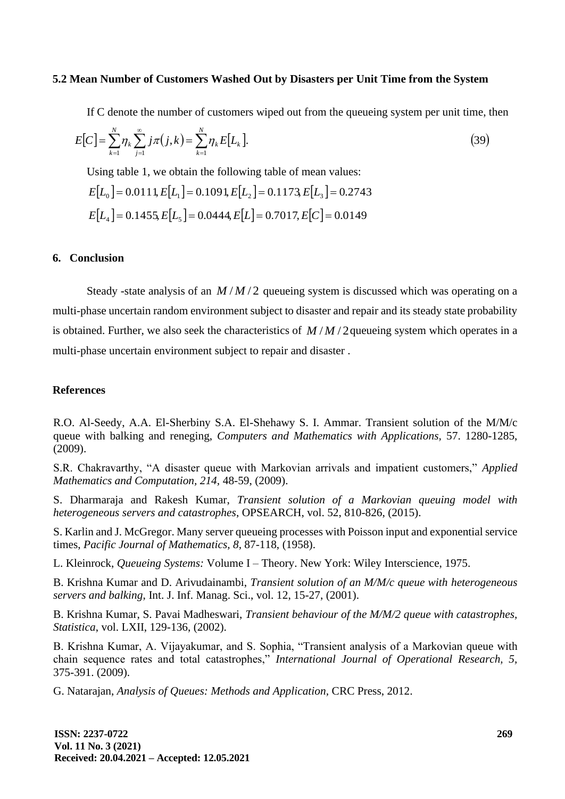#### **5.2 Mean Number of Customers Washed Out by Disasters per Unit Time from the System**

If C denote the number of customers wiped out from the queueing system per unit time, then

If C denote the number of customers wiped out from the queueing system per unit time,  

$$
E[C] = \sum_{k=1}^{N} \eta_k \sum_{j=1}^{\infty} j\pi(j,k) = \sum_{k=1}^{N} \eta_k E[L_k].
$$
(39)

Using table 1, we obtain the following table of mean values:

$$
E[L_0] = 0.0111, E[L_1] = 0.1091, E[L_2] = 0.1173, E[L_3] = 0.2743
$$
  

$$
E[L_4] = 0.1455, E[L_5] = 0.0444, E[L] = 0.7017, E[C] = 0.0149
$$

#### **6. Conclusion**

Steady -state analysis of an  $M/M/2$  queueing system is discussed which was operating on a multi-phase uncertain random environment subject to disaster and repair and its steady state probability is obtained. Further, we also seek the characteristics of  $M/M/2$  queueing system which operates in a multi-phase uncertain environment subject to repair and disaster .

### **References**

R.O. Al-Seedy, A.A. El-Sherbiny S.A. El-Shehawy S. I. Ammar. Transient solution of the M/M/c queue with balking and reneging, *Computers and Mathematics with Applications,* 57. 1280-1285, (2009).

S.R. Chakravarthy, "A disaster queue with Markovian arrivals and impatient customers," *Applied Mathematics and Computation, 214,* 48-59, (2009).

S. Dharmaraja and Rakesh Kumar, *Transient solution of a Markovian queuing model with heterogeneous servers and catastrophes*, OPSEARCH, vol. 52, 810-826, (2015).

S. Karlin and J. McGregor. Many server queueing processes with Poisson input and exponential service times, *Pacific Journal of Mathematics, 8,* 87-118, (1958).

L. Kleinrock, *Queueing Systems:* Volume I – Theory. New York: Wiley Interscience, 1975.

B. Krishna Kumar and D. Arivudainambi, *Transient solution of an M/M/c queue with heterogeneous servers and balking*, Int. J. Inf. Manag. Sci., vol. 12, 15-27, (2001).

B. Krishna Kumar, S. Pavai Madheswari, *Transient behaviour of the M/M/2 queue with catastrophes, Statistica*, vol. LXII, 129-136, (2002).

B. Krishna Kumar, A. Vijayakumar, and S. Sophia, "Transient analysis of a Markovian queue with chain sequence rates and total catastrophes," *International Journal of Operational Research, 5,* 375-391. (2009).

G. Natarajan, *Analysis of Queues: Methods and Application,* CRC Press, 2012.